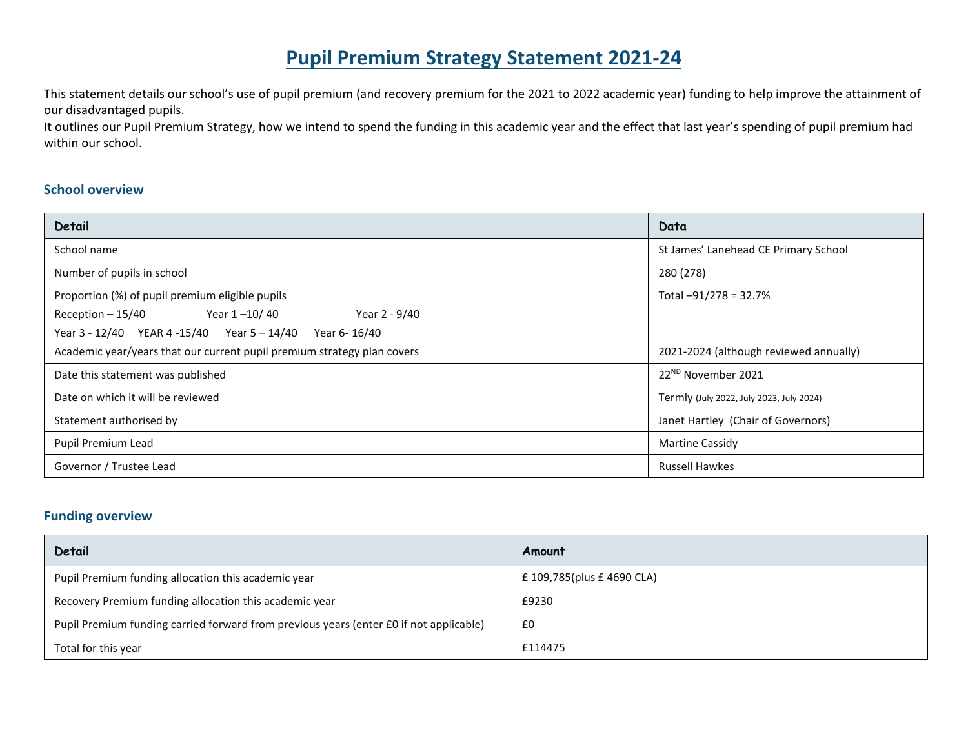# **Pupil Premium Strategy Statement 2021-24**

This statement details our school's use of pupil premium (and recovery premium for the 2021 to 2022 academic year) funding to help improve the attainment of our disadvantaged pupils.

It outlines our Pupil Premium Strategy, how we intend to spend the funding in this academic year and the effect that last year's spending of pupil premium had within our school.

### **School overview**

| Detail                                                                  | Data                                     |
|-------------------------------------------------------------------------|------------------------------------------|
| School name                                                             | St James' Lanehead CE Primary School     |
| Number of pupils in school                                              | 280 (278)                                |
| Proportion (%) of pupil premium eligible pupils                         | Total -91/278 = 32.7%                    |
| Year 1-10/40<br>Year 2 - 9/40<br>Reception $-15/40$                     |                                          |
| Year 3 - 12/40 YEAR 4 -15/40 Year 5 - 14/40<br>Year 6-16/40             |                                          |
| Academic year/years that our current pupil premium strategy plan covers | 2021-2024 (although reviewed annually)   |
| Date this statement was published                                       | 22 <sup>ND</sup> November 2021           |
| Date on which it will be reviewed                                       | Termly (July 2022, July 2023, July 2024) |
| Statement authorised by                                                 | Janet Hartley (Chair of Governors)       |
| Pupil Premium Lead                                                      | <b>Martine Cassidy</b>                   |
| Governor / Trustee Lead                                                 | <b>Russell Hawkes</b>                    |

### **Funding overview**

| Detail                                                                                 | Amount                     |
|----------------------------------------------------------------------------------------|----------------------------|
| Pupil Premium funding allocation this academic year                                    | £ 109,785(plus £ 4690 CLA) |
| Recovery Premium funding allocation this academic year                                 | £9230                      |
| Pupil Premium funding carried forward from previous years (enter £0 if not applicable) | £0                         |
| Total for this year                                                                    | £114475                    |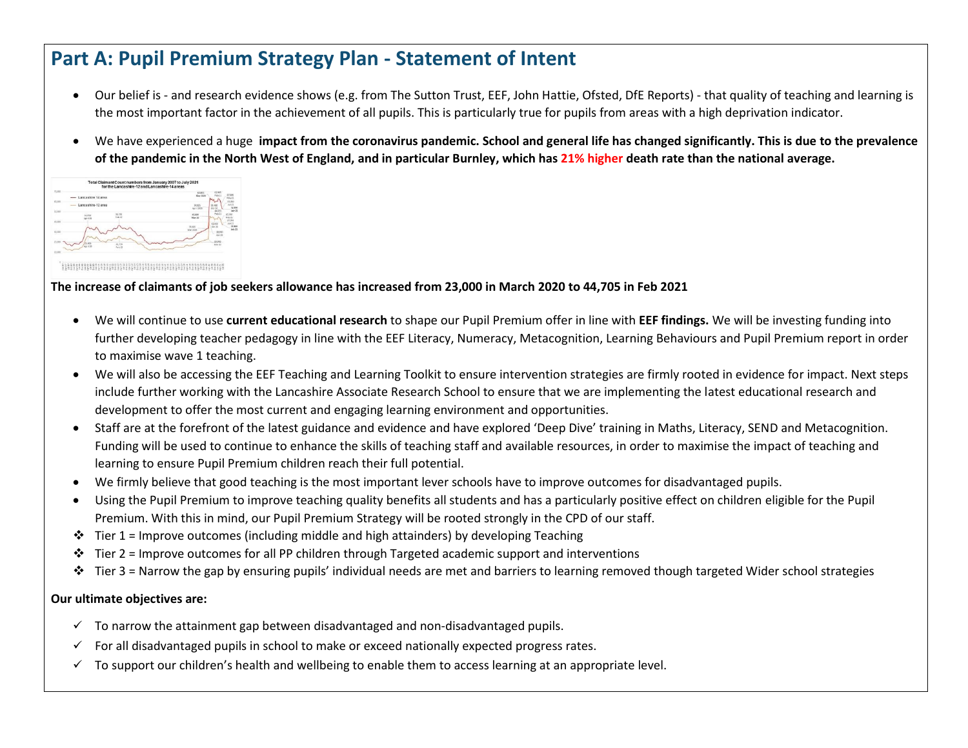# **Part A: Pupil Premium Strategy Plan - Statement of Intent**

- Our belief is and research evidence shows (e.g. from The Sutton Trust, EEF, John Hattie, Ofsted, DfE Reports) that quality of teaching and learning is the most important factor in the achievement of all pupils. This is particularly true for pupils from areas with a high deprivation indicator.
- We have experienced a huge **impact from the coronavirus pandemic. School and general life has changed significantly. This is due to the prevalence of the pandemic in the North West of England, and in particular Burnley, which has 21% higher death rate than the national average.**



### **The increase of claimants of job seekers allowance has increased from 23,000 in March 2020 to 44,705 in Feb 2021**

- We will continue to use **current educational research** to shape our Pupil Premium offer in line with **EEF findings.** We will be investing funding into further developing teacher pedagogy in line with the EEF Literacy, Numeracy, Metacognition, Learning Behaviours and Pupil Premium report in order to maximise wave 1 teaching.
- We will also be accessing the EEF Teaching and Learning Toolkit to ensure intervention strategies are firmly rooted in evidence for impact. Next steps include further working with the Lancashire Associate Research School to ensure that we are implementing the latest educational research and development to offer the most current and engaging learning environment and opportunities.
- Staff are at the forefront of the latest guidance and evidence and have explored 'Deep Dive' training in Maths, Literacy, SEND and Metacognition. Funding will be used to continue to enhance the skills of teaching staff and available resources, in order to maximise the impact of teaching and learning to ensure Pupil Premium children reach their full potential.
- We firmly believe that good teaching is the most important lever schools have to improve outcomes for disadvantaged pupils.
- Using the Pupil Premium to improve teaching quality benefits all students and has a particularly positive effect on children eligible for the Pupil Premium. With this in mind, our Pupil Premium Strategy will be rooted strongly in the CPD of our staff.
- $\div$  Tier 1 = Improve outcomes (including middle and high attainders) by developing Teaching
- $\dots$  Tier 2 = Improve outcomes for all PP children through Targeted academic support and interventions
- ◆ Tier 3 = Narrow the gap by ensuring pupils' individual needs are met and barriers to learning removed though targeted Wider school strategies

#### **Our ultimate objectives are:**

- $\checkmark$  To narrow the attainment gap between disadvantaged and non-disadvantaged pupils.
- $\checkmark$  For all disadvantaged pupils in school to make or exceed nationally expected progress rates.
- $\checkmark$  To support our children's health and wellbeing to enable them to access learning at an appropriate level.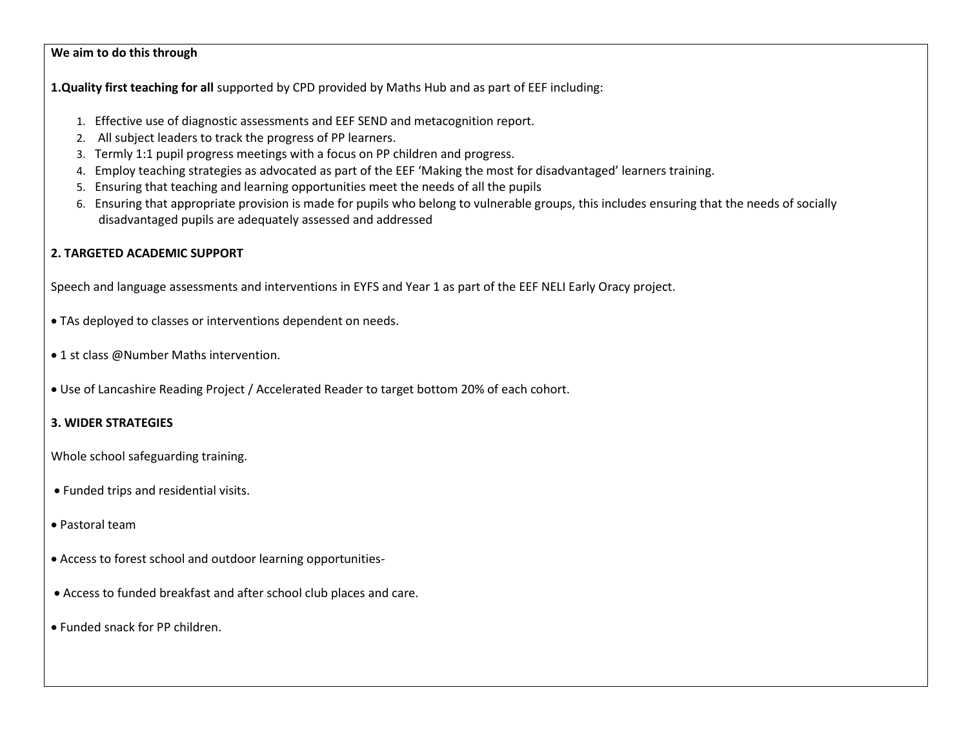#### **We aim to do this through**

**1.Quality first teaching for all** supported by CPD provided by Maths Hub and as part of EEF including:

- 1. Effective use of diagnostic assessments and EEF SEND and metacognition report.
- 2. All subject leaders to track the progress of PP learners.
- 3. Termly 1:1 pupil progress meetings with a focus on PP children and progress.
- 4. Employ teaching strategies as advocated as part of the EEF 'Making the most for disadvantaged' learners training.
- 5. Ensuring that teaching and learning opportunities meet the needs of all the pupils
- 6. Ensuring that appropriate provision is made for pupils who belong to vulnerable groups, this includes ensuring that the needs of socially disadvantaged pupils are adequately assessed and addressed

#### **2. TARGETED ACADEMIC SUPPORT**

Speech and language assessments and interventions in EYFS and Year 1 as part of the EEF NELI Early Oracy project.

- TAs deployed to classes or interventions dependent on needs.
- 1 st class @Number Maths intervention.
- Use of Lancashire Reading Project / Accelerated Reader to target bottom 20% of each cohort.

#### **3. WIDER STRATEGIES**

Whole school safeguarding training.

- Funded trips and residential visits.
- Pastoral team
- Access to forest school and outdoor learning opportunities-
- Access to funded breakfast and after school club places and care.
- Funded snack for PP children.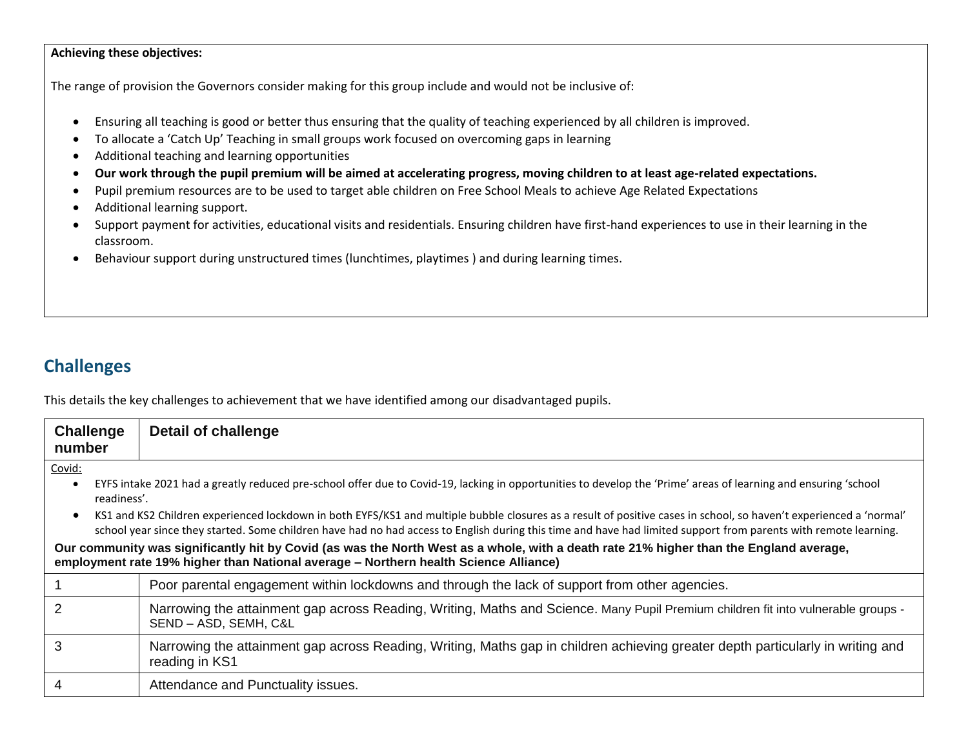#### **Achieving these objectives:**

The range of provision the Governors consider making for this group include and would not be inclusive of:

- Ensuring all teaching is good or better thus ensuring that the quality of teaching experienced by all children is improved.
- To allocate a 'Catch Up' Teaching in small groups work focused on overcoming gaps in learning
- Additional teaching and learning opportunities
- **Our work through the pupil premium will be aimed at accelerating progress, moving children to at least age-related expectations.**
- Pupil premium resources are to be used to target able children on Free School Meals to achieve Age Related Expectations
- Additional learning support.
- Support payment for activities, educational visits and residentials. Ensuring children have first-hand experiences to use in their learning in the classroom.
- Behaviour support during unstructured times (lunchtimes, playtimes ) and during learning times.

### **Challenges**

This details the key challenges to achievement that we have identified among our disadvantaged pupils.

| <b>Challenge</b><br>number | Detail of challenge                                                                                                                                                                                                                                                                                                                    |
|----------------------------|----------------------------------------------------------------------------------------------------------------------------------------------------------------------------------------------------------------------------------------------------------------------------------------------------------------------------------------|
| Covid:                     |                                                                                                                                                                                                                                                                                                                                        |
| $\bullet$<br>readiness'.   | EYFS intake 2021 had a greatly reduced pre-school offer due to Covid-19, lacking in opportunities to develop the 'Prime' areas of learning and ensuring 'school                                                                                                                                                                        |
| $\bullet$                  | KS1 and KS2 Children experienced lockdown in both EYFS/KS1 and multiple bubble closures as a result of positive cases in school, so haven't experienced a 'normal'<br>school year since they started. Some children have had no had access to English during this time and have had limited support from parents with remote learning. |
|                            | Our community was significantly hit by Covid (as was the North West as a whole, with a death rate 21% higher than the England average,<br>employment rate 19% higher than National average - Northern health Science Alliance)                                                                                                         |
|                            | Poor parental engagement within lockdowns and through the lack of support from other agencies.                                                                                                                                                                                                                                         |
|                            | Narrowing the attainment gap across Reading, Writing, Maths and Science. Many Pupil Premium children fit into vulnerable groups -<br>SEND - ASD, SEMH, C&L                                                                                                                                                                             |
| 3                          | Narrowing the attainment gap across Reading, Writing, Maths gap in children achieving greater depth particularly in writing and<br>reading in KS1                                                                                                                                                                                      |
| 4                          | Attendance and Punctuality issues.                                                                                                                                                                                                                                                                                                     |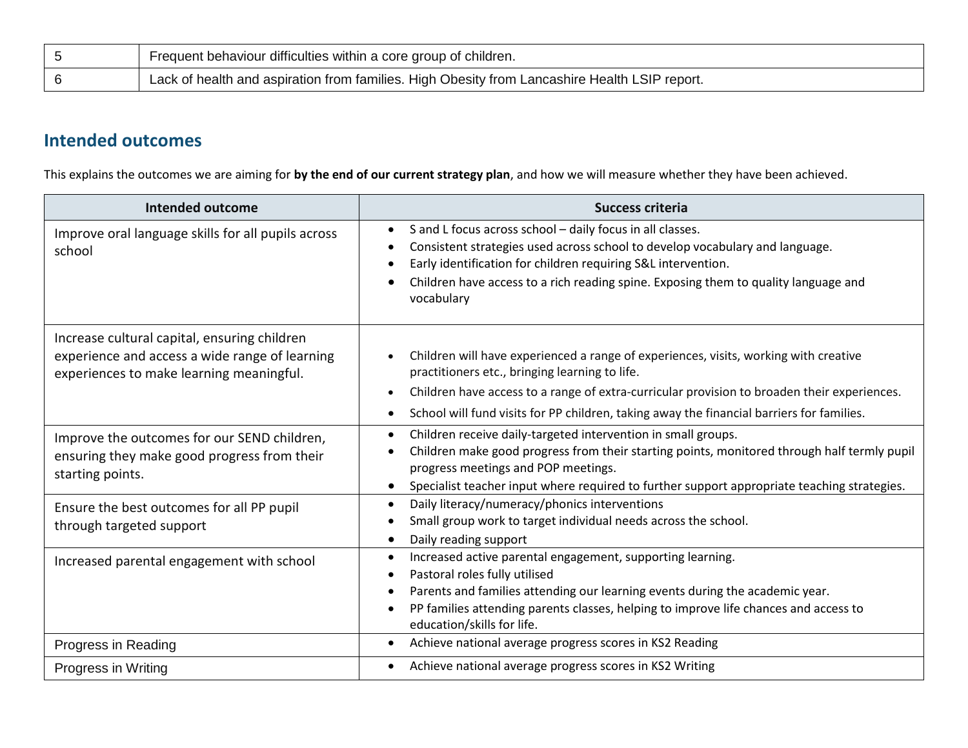| Frequent behaviour difficulties within a core group of children.                              |
|-----------------------------------------------------------------------------------------------|
| Lack of health and aspiration from families. High Obesity from Lancashire Health LSIP report. |

## **Intended outcomes**

This explains the outcomes we are aiming for **by the end of our current strategy plan**, and how we will measure whether they have been achieved.

| Intended outcome                                                                                                                           | <b>Success criteria</b>                                                                                                                                                                                                                                                                                                                                      |
|--------------------------------------------------------------------------------------------------------------------------------------------|--------------------------------------------------------------------------------------------------------------------------------------------------------------------------------------------------------------------------------------------------------------------------------------------------------------------------------------------------------------|
| Improve oral language skills for all pupils across<br>school                                                                               | S and L focus across school - daily focus in all classes.<br>$\bullet$<br>Consistent strategies used across school to develop vocabulary and language.<br>$\bullet$<br>Early identification for children requiring S&L intervention.<br>$\bullet$<br>Children have access to a rich reading spine. Exposing them to quality language and<br>vocabulary       |
| Increase cultural capital, ensuring children<br>experience and access a wide range of learning<br>experiences to make learning meaningful. | Children will have experienced a range of experiences, visits, working with creative<br>practitioners etc., bringing learning to life.<br>Children have access to a range of extra-curricular provision to broaden their experiences.<br>$\bullet$<br>School will fund visits for PP children, taking away the financial barriers for families.<br>$\bullet$ |
| Improve the outcomes for our SEND children,<br>ensuring they make good progress from their<br>starting points.                             | Children receive daily-targeted intervention in small groups.<br>$\bullet$<br>Children make good progress from their starting points, monitored through half termly pupil<br>$\bullet$<br>progress meetings and POP meetings.<br>Specialist teacher input where required to further support appropriate teaching strategies.                                 |
| Ensure the best outcomes for all PP pupil<br>through targeted support                                                                      | Daily literacy/numeracy/phonics interventions<br>$\bullet$<br>Small group work to target individual needs across the school.<br>٠<br>Daily reading support<br>$\bullet$                                                                                                                                                                                      |
| Increased parental engagement with school                                                                                                  | Increased active parental engagement, supporting learning.<br>$\bullet$<br>Pastoral roles fully utilised<br>$\bullet$<br>Parents and families attending our learning events during the academic year.<br>$\bullet$<br>PP families attending parents classes, helping to improve life chances and access to<br>٠<br>education/skills for life.                |
| Progress in Reading                                                                                                                        | Achieve national average progress scores in KS2 Reading<br>$\bullet$                                                                                                                                                                                                                                                                                         |
| Progress in Writing                                                                                                                        | Achieve national average progress scores in KS2 Writing<br>$\bullet$                                                                                                                                                                                                                                                                                         |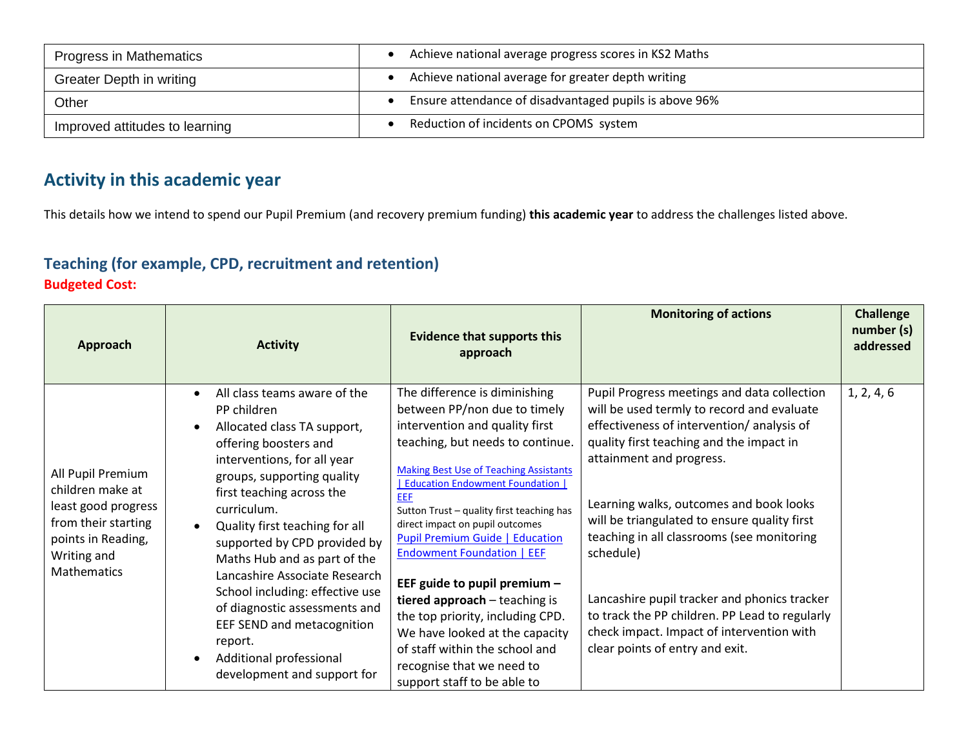| Progress in Mathematics        | Achieve national average progress scores in KS2 Maths               |
|--------------------------------|---------------------------------------------------------------------|
| Greater Depth in writing       | Achieve national average for greater depth writing                  |
| Other                          | Ensure attendance of disadvantaged pupils is above 96%<br>$\bullet$ |
| Improved attitudes to learning | Reduction of incidents on CPOMS system                              |

# **Activity in this academic year**

This details how we intend to spend our Pupil Premium (and recovery premium funding) **this academic year** to address the challenges listed above.

### **Teaching (for example, CPD, recruitment and retention) Budgeted Cost:**

| Approach                                                                                                                                       | <b>Activity</b>                                                                                                                                                                                                                                                                                                                                                                                                                                                                                                        | <b>Evidence that supports this</b><br>approach                                                                                                                                                                                                                                                                                                                                                                                                                                                                                                                                                                                             | <b>Monitoring of actions</b>                                                                                                                                                                                                                                                                                                                                                                                                                                                                                                                           | <b>Challenge</b><br>number (s)<br>addressed |
|------------------------------------------------------------------------------------------------------------------------------------------------|------------------------------------------------------------------------------------------------------------------------------------------------------------------------------------------------------------------------------------------------------------------------------------------------------------------------------------------------------------------------------------------------------------------------------------------------------------------------------------------------------------------------|--------------------------------------------------------------------------------------------------------------------------------------------------------------------------------------------------------------------------------------------------------------------------------------------------------------------------------------------------------------------------------------------------------------------------------------------------------------------------------------------------------------------------------------------------------------------------------------------------------------------------------------------|--------------------------------------------------------------------------------------------------------------------------------------------------------------------------------------------------------------------------------------------------------------------------------------------------------------------------------------------------------------------------------------------------------------------------------------------------------------------------------------------------------------------------------------------------------|---------------------------------------------|
| All Pupil Premium<br>children make at<br>least good progress<br>from their starting<br>points in Reading,<br>Writing and<br><b>Mathematics</b> | All class teams aware of the<br>PP children<br>Allocated class TA support,<br>offering boosters and<br>interventions, for all year<br>groups, supporting quality<br>first teaching across the<br>curriculum.<br>Quality first teaching for all<br>supported by CPD provided by<br>Maths Hub and as part of the<br>Lancashire Associate Research<br>School including: effective use<br>of diagnostic assessments and<br>EEF SEND and metacognition<br>report.<br>Additional professional<br>development and support for | The difference is diminishing<br>between PP/non due to timely<br>intervention and quality first<br>teaching, but needs to continue.<br><b>Making Best Use of Teaching Assistants</b><br><b>Education Endowment Foundation  </b><br>EEF<br>Sutton Trust - quality first teaching has<br>direct impact on pupil outcomes<br><b>Pupil Premium Guide   Education</b><br><b>Endowment Foundation   EEF</b><br>EEF guide to pupil premium -<br>tiered approach - teaching is<br>the top priority, including CPD.<br>We have looked at the capacity<br>of staff within the school and<br>recognise that we need to<br>support staff to be able to | Pupil Progress meetings and data collection<br>will be used termly to record and evaluate<br>effectiveness of intervention/analysis of<br>quality first teaching and the impact in<br>attainment and progress.<br>Learning walks, outcomes and book looks<br>will be triangulated to ensure quality first<br>teaching in all classrooms (see monitoring<br>schedule)<br>Lancashire pupil tracker and phonics tracker<br>to track the PP children. PP Lead to regularly<br>check impact. Impact of intervention with<br>clear points of entry and exit. | 1, 2, 4, 6                                  |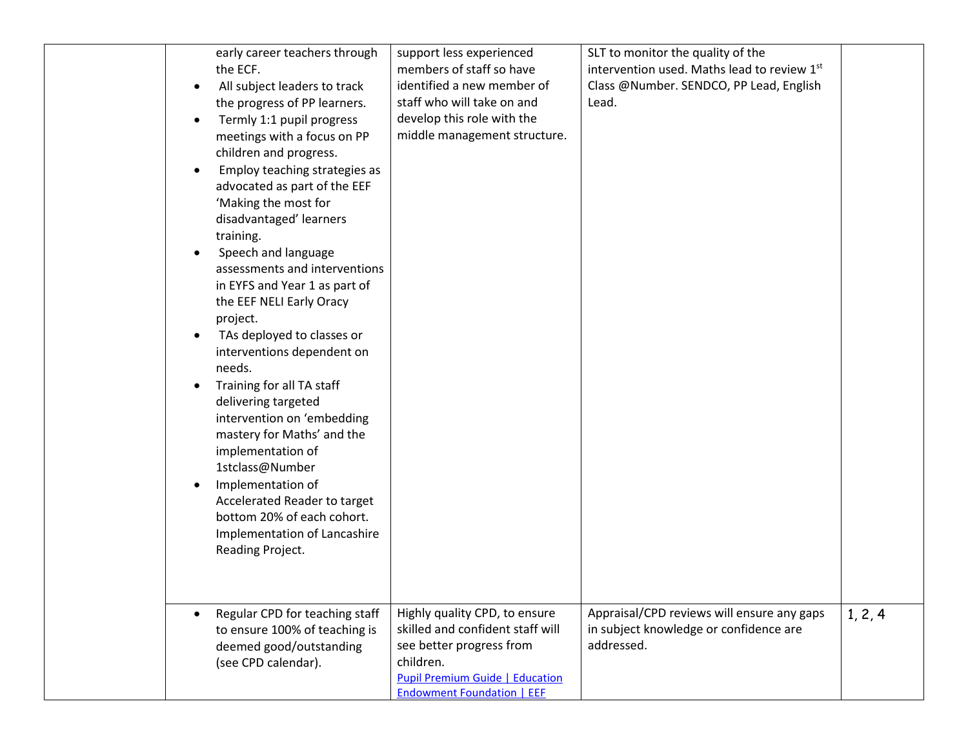| early career teachers through<br>the ECF.<br>All subject leaders to track<br>the progress of PP learners.                                                                                                                  | support less experienced<br>members of staff so have<br>identified a new member of<br>staff who will take on and                                                                          | SLT to monitor the quality of the<br>intervention used. Maths lead to review 1st<br>Class @Number. SENDCO, PP Lead, English<br>Lead. |         |
|----------------------------------------------------------------------------------------------------------------------------------------------------------------------------------------------------------------------------|-------------------------------------------------------------------------------------------------------------------------------------------------------------------------------------------|--------------------------------------------------------------------------------------------------------------------------------------|---------|
| Termly 1:1 pupil progress<br>$\bullet$<br>meetings with a focus on PP<br>children and progress.<br>Employ teaching strategies as<br>$\bullet$<br>advocated as part of the EEF                                              | develop this role with the<br>middle management structure.                                                                                                                                |                                                                                                                                      |         |
| 'Making the most for<br>disadvantaged' learners<br>training.<br>Speech and language<br>$\bullet$<br>assessments and interventions<br>in EYFS and Year 1 as part of<br>the EEF NELI Early Oracy<br>project.                 |                                                                                                                                                                                           |                                                                                                                                      |         |
| TAs deployed to classes or<br>interventions dependent on<br>needs.<br>Training for all TA staff<br>delivering targeted<br>intervention on 'embedding<br>mastery for Maths' and the<br>implementation of<br>1stclass@Number |                                                                                                                                                                                           |                                                                                                                                      |         |
| Implementation of<br>$\bullet$<br>Accelerated Reader to target<br>bottom 20% of each cohort.<br>Implementation of Lancashire<br>Reading Project.                                                                           |                                                                                                                                                                                           |                                                                                                                                      |         |
| Regular CPD for teaching staff<br>to ensure 100% of teaching is<br>deemed good/outstanding<br>(see CPD calendar).                                                                                                          | Highly quality CPD, to ensure<br>skilled and confident staff will<br>see better progress from<br>children.<br><b>Pupil Premium Guide   Education</b><br><b>Endowment Foundation   EEF</b> | Appraisal/CPD reviews will ensure any gaps<br>in subject knowledge or confidence are<br>addressed.                                   | 1, 2, 4 |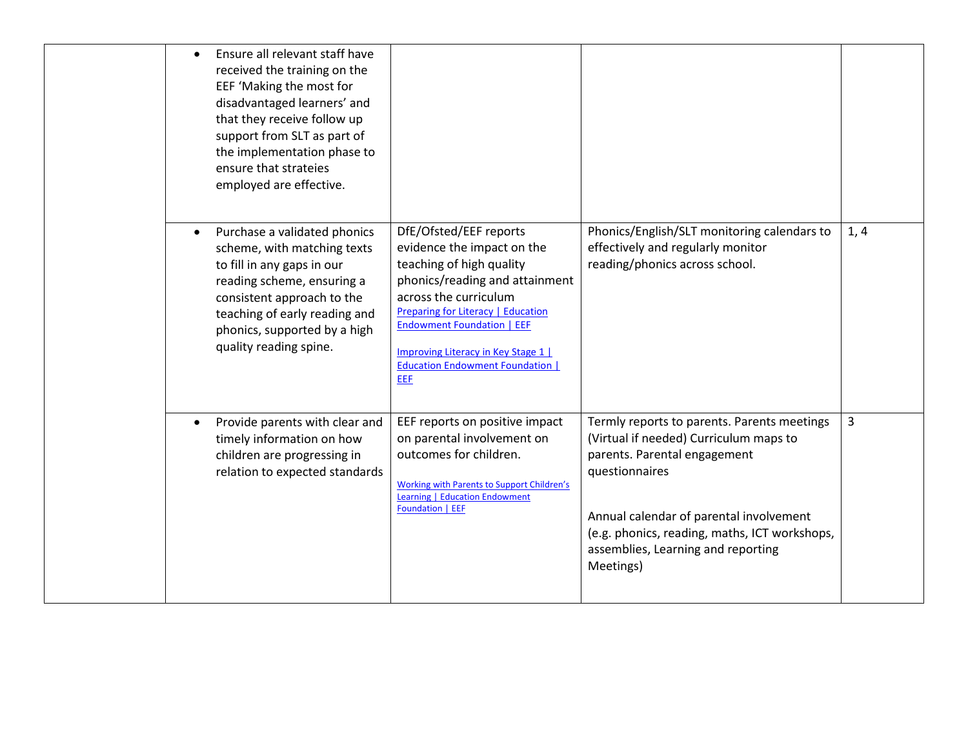| Ensure all relevant staff have<br>received the training on the<br>EEF 'Making the most for<br>disadvantaged learners' and<br>that they receive follow up<br>support from SLT as part of<br>the implementation phase to<br>ensure that strateies<br>employed are effective. |                                                                                                                                                                                                                                                                                                                        |                                                                                                                                                                                                                                                                                        |                |
|----------------------------------------------------------------------------------------------------------------------------------------------------------------------------------------------------------------------------------------------------------------------------|------------------------------------------------------------------------------------------------------------------------------------------------------------------------------------------------------------------------------------------------------------------------------------------------------------------------|----------------------------------------------------------------------------------------------------------------------------------------------------------------------------------------------------------------------------------------------------------------------------------------|----------------|
| Purchase a validated phonics<br>scheme, with matching texts<br>to fill in any gaps in our<br>reading scheme, ensuring a<br>consistent approach to the<br>teaching of early reading and<br>phonics, supported by a high<br>quality reading spine.                           | DfE/Ofsted/EEF reports<br>evidence the impact on the<br>teaching of high quality<br>phonics/reading and attainment<br>across the curriculum<br>Preparing for Literacy   Education<br><b>Endowment Foundation   EEF</b><br><b>Improving Literacy in Key Stage 1  </b><br><b>Education Endowment Foundation  </b><br>EEF | Phonics/English/SLT monitoring calendars to<br>effectively and regularly monitor<br>reading/phonics across school.                                                                                                                                                                     | 1, 4           |
| Provide parents with clear and<br>$\bullet$<br>timely information on how<br>children are progressing in<br>relation to expected standards                                                                                                                                  | EEF reports on positive impact<br>on parental involvement on<br>outcomes for children.<br><b>Working with Parents to Support Children's</b><br><b>Learning   Education Endowment</b><br><b>Foundation   EEF</b>                                                                                                        | Termly reports to parents. Parents meetings<br>(Virtual if needed) Curriculum maps to<br>parents. Parental engagement<br>questionnaires<br>Annual calendar of parental involvement<br>(e.g. phonics, reading, maths, ICT workshops,<br>assemblies, Learning and reporting<br>Meetings) | $\overline{3}$ |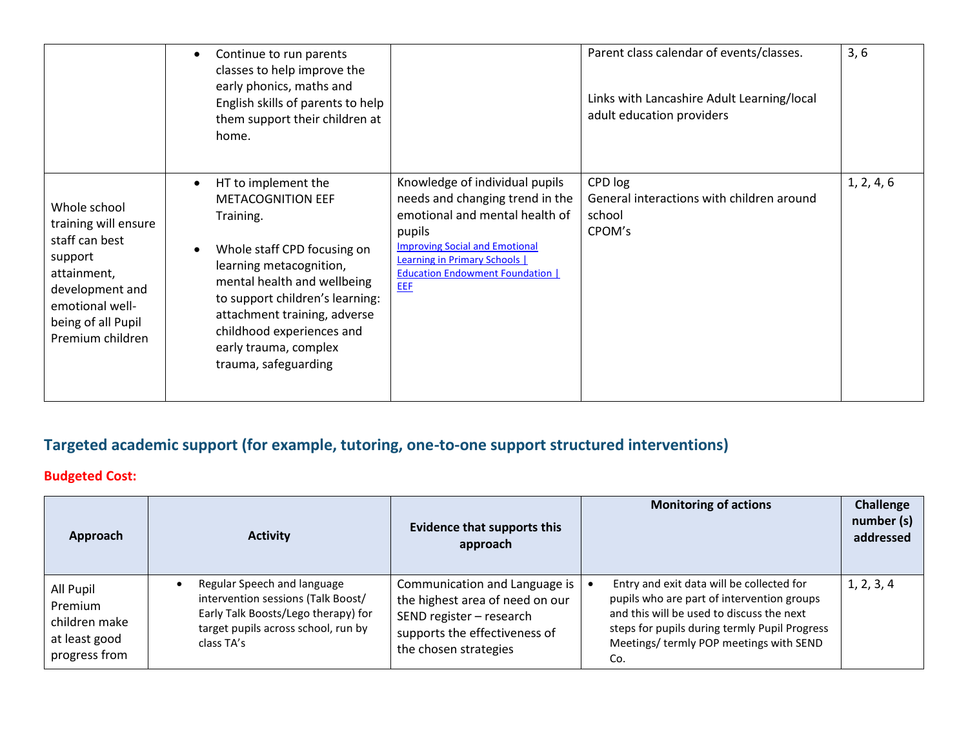|                                                                                                                                                                  | Continue to run parents<br>$\bullet$<br>classes to help improve the<br>early phonics, maths and<br>English skills of parents to help<br>them support their children at<br>home.                                                                                                                        |                                                                                                                                                                                                                                                | Parent class calendar of events/classes.<br>Links with Lancashire Adult Learning/local<br>adult education providers | 3, 6       |
|------------------------------------------------------------------------------------------------------------------------------------------------------------------|--------------------------------------------------------------------------------------------------------------------------------------------------------------------------------------------------------------------------------------------------------------------------------------------------------|------------------------------------------------------------------------------------------------------------------------------------------------------------------------------------------------------------------------------------------------|---------------------------------------------------------------------------------------------------------------------|------------|
| Whole school<br>training will ensure<br>staff can best<br>support<br>attainment,<br>development and<br>emotional well-<br>being of all Pupil<br>Premium children | HT to implement the<br><b>METACOGNITION EEF</b><br>Training.<br>Whole staff CPD focusing on<br>learning metacognition,<br>mental health and wellbeing<br>to support children's learning:<br>attachment training, adverse<br>childhood experiences and<br>early trauma, complex<br>trauma, safeguarding | Knowledge of individual pupils<br>needs and changing trend in the<br>emotional and mental health of<br>pupils<br><b>Improving Social and Emotional</b><br><b>Learning in Primary Schools</b><br><b>Education Endowment Foundation  </b><br>EEF | CPD log<br>General interactions with children around<br>school<br>CPOM's                                            | 1, 2, 4, 6 |

# **Targeted academic support (for example, tutoring, one-to-one support structured interventions)**

### **Budgeted Cost:**

| Approach                                                                | <b>Activity</b>                                                                                                                                               | <b>Evidence that supports this</b><br>approach                                                                                                         | <b>Monitoring of actions</b>                                                                                                                                                                                                                   | Challenge<br>number (s)<br>addressed |
|-------------------------------------------------------------------------|---------------------------------------------------------------------------------------------------------------------------------------------------------------|--------------------------------------------------------------------------------------------------------------------------------------------------------|------------------------------------------------------------------------------------------------------------------------------------------------------------------------------------------------------------------------------------------------|--------------------------------------|
| All Pupil<br>Premium<br>children make<br>at least good<br>progress from | Regular Speech and language<br>intervention sessions (Talk Boost/<br>Early Talk Boosts/Lego therapy) for<br>target pupils across school, run by<br>class TA's | Communication and Language is<br>the highest area of need on our<br>SEND register - research<br>supports the effectiveness of<br>the chosen strategies | Entry and exit data will be collected for<br>- 0<br>pupils who are part of intervention groups<br>and this will be used to discuss the next<br>steps for pupils during termly Pupil Progress<br>Meetings/ termly POP meetings with SEND<br>Co. | 1, 2, 3, 4                           |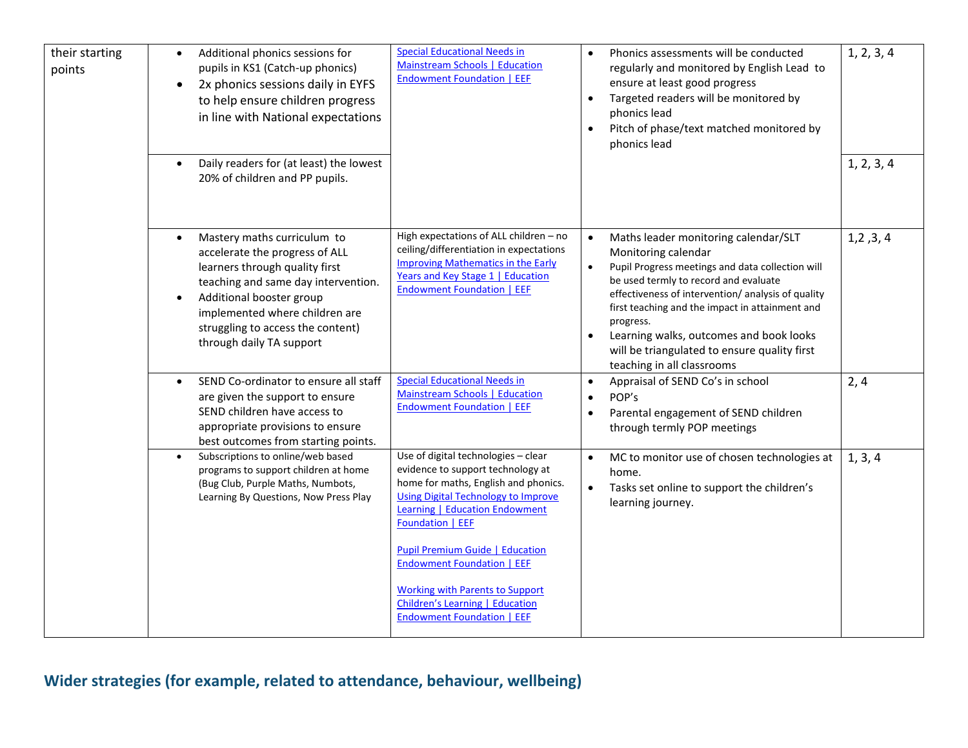| their starting<br>points | Additional phonics sessions for<br>$\bullet$<br>pupils in KS1 (Catch-up phonics)<br>2x phonics sessions daily in EYFS<br>to help ensure children progress<br>in line with National expectations<br>Daily readers for (at least) the lowest<br>20% of children and PP pupils.       | <b>Special Educational Needs in</b><br>Mainstream Schools   Education<br><b>Endowment Foundation   EEF</b>                                                                                                                                                                                                        | Phonics assessments will be conducted<br>$\bullet$<br>regularly and monitored by English Lead to<br>ensure at least good progress<br>Targeted readers will be monitored by<br>$\bullet$<br>phonics lead<br>Pitch of phase/text matched monitored by<br>$\bullet$<br>phonics lead                                                                                                                                                               | 1, 2, 3, 4<br>1, 2, 3, 4 |
|--------------------------|------------------------------------------------------------------------------------------------------------------------------------------------------------------------------------------------------------------------------------------------------------------------------------|-------------------------------------------------------------------------------------------------------------------------------------------------------------------------------------------------------------------------------------------------------------------------------------------------------------------|------------------------------------------------------------------------------------------------------------------------------------------------------------------------------------------------------------------------------------------------------------------------------------------------------------------------------------------------------------------------------------------------------------------------------------------------|--------------------------|
|                          | Mastery maths curriculum to<br>$\bullet$<br>accelerate the progress of ALL<br>learners through quality first<br>teaching and same day intervention.<br>Additional booster group<br>implemented where children are<br>struggling to access the content)<br>through daily TA support | High expectations of ALL children - no<br>ceiling/differentiation in expectations<br><b>Improving Mathematics in the Early</b><br>Years and Key Stage 1   Education<br><b>Endowment Foundation   EEF</b>                                                                                                          | Maths leader monitoring calendar/SLT<br>$\bullet$<br>Monitoring calendar<br>Pupil Progress meetings and data collection will<br>$\bullet$<br>be used termly to record and evaluate<br>effectiveness of intervention/ analysis of quality<br>first teaching and the impact in attainment and<br>progress.<br>Learning walks, outcomes and book looks<br>$\bullet$<br>will be triangulated to ensure quality first<br>teaching in all classrooms | 1, 2, 3, 4               |
|                          | SEND Co-ordinator to ensure all staff<br>are given the support to ensure<br>SEND children have access to<br>appropriate provisions to ensure<br>best outcomes from starting points.                                                                                                | <b>Special Educational Needs in</b><br>Mainstream Schools   Education<br><b>Endowment Foundation   EEF</b>                                                                                                                                                                                                        | Appraisal of SEND Co's in school<br>$\bullet$<br>POP's<br>$\bullet$<br>Parental engagement of SEND children<br>$\bullet$<br>through termly POP meetings                                                                                                                                                                                                                                                                                        | 2, 4                     |
|                          | Subscriptions to online/web based<br>programs to support children at home<br>(Bug Club, Purple Maths, Numbots,<br>Learning By Questions, Now Press Play                                                                                                                            | Use of digital technologies - clear<br>evidence to support technology at<br>home for maths, English and phonics.<br><b>Using Digital Technology to Improve</b><br><b>Learning   Education Endowment</b><br><b>Foundation   EEF</b><br><b>Pupil Premium Guide   Education</b><br><b>Endowment Foundation   EEF</b> | MC to monitor use of chosen technologies at<br>$\bullet$<br>home.<br>Tasks set online to support the children's<br>$\bullet$<br>learning journey.                                                                                                                                                                                                                                                                                              | 1, 3, 4                  |
|                          |                                                                                                                                                                                                                                                                                    | <b>Working with Parents to Support</b><br><b>Children's Learning   Education</b><br><b>Endowment Foundation   EEF</b>                                                                                                                                                                                             |                                                                                                                                                                                                                                                                                                                                                                                                                                                |                          |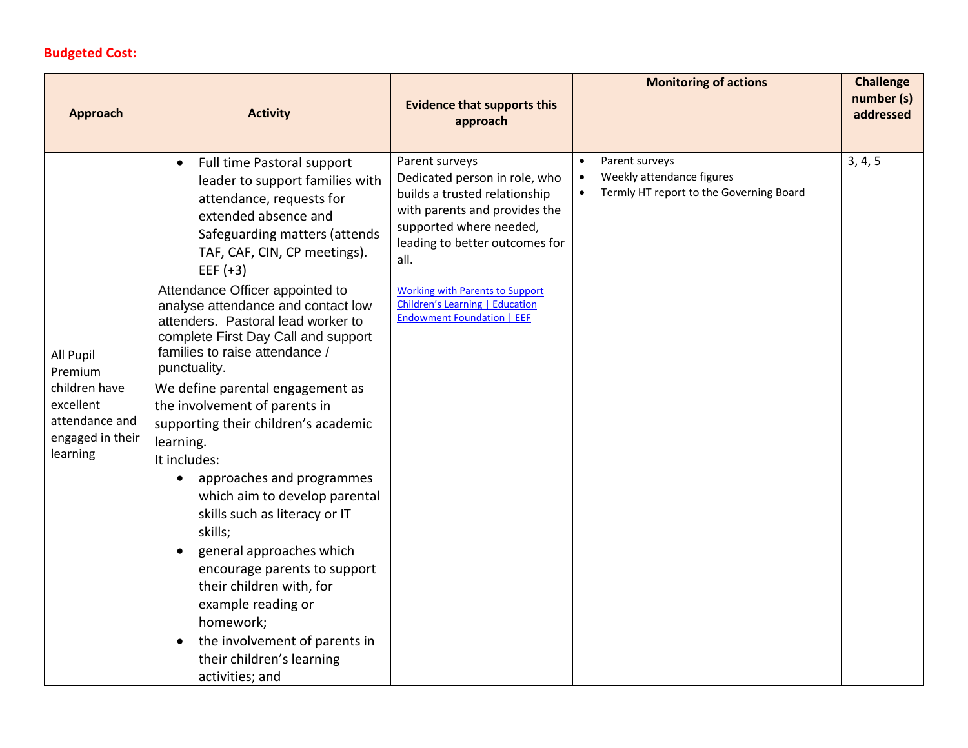### **Budgeted Cost:**

| <b>Approach</b>                                                                                      | <b>Activity</b>                                                                                                                                                                                                                                                                                                                                                                                                                                                                                                                                                                                                                                                                                                                                                                                                                                                                                                 | <b>Evidence that supports this</b><br>approach                                                                                                                                                                                                                                                           | <b>Monitoring of actions</b>                                                                                     | <b>Challenge</b><br>number (s)<br>addressed |
|------------------------------------------------------------------------------------------------------|-----------------------------------------------------------------------------------------------------------------------------------------------------------------------------------------------------------------------------------------------------------------------------------------------------------------------------------------------------------------------------------------------------------------------------------------------------------------------------------------------------------------------------------------------------------------------------------------------------------------------------------------------------------------------------------------------------------------------------------------------------------------------------------------------------------------------------------------------------------------------------------------------------------------|----------------------------------------------------------------------------------------------------------------------------------------------------------------------------------------------------------------------------------------------------------------------------------------------------------|------------------------------------------------------------------------------------------------------------------|---------------------------------------------|
| All Pupil<br>Premium<br>children have<br>excellent<br>attendance and<br>engaged in their<br>learning | Full time Pastoral support<br>$\bullet$<br>leader to support families with<br>attendance, requests for<br>extended absence and<br>Safeguarding matters (attends<br>TAF, CAF, CIN, CP meetings).<br>EEF $(+3)$<br>Attendance Officer appointed to<br>analyse attendance and contact low<br>attenders. Pastoral lead worker to<br>complete First Day Call and support<br>families to raise attendance /<br>punctuality.<br>We define parental engagement as<br>the involvement of parents in<br>supporting their children's academic<br>learning.<br>It includes:<br>approaches and programmes<br>$\bullet$<br>which aim to develop parental<br>skills such as literacy or IT<br>skills;<br>general approaches which<br>encourage parents to support<br>their children with, for<br>example reading or<br>homework;<br>the involvement of parents in<br>$\bullet$<br>their children's learning<br>activities; and | Parent surveys<br>Dedicated person in role, who<br>builds a trusted relationship<br>with parents and provides the<br>supported where needed,<br>leading to better outcomes for<br>all.<br><b>Working with Parents to Support</b><br>Children's Learning   Education<br><b>Endowment Foundation   EEF</b> | Parent surveys<br>Weekly attendance figures<br>$\bullet$<br>Termly HT report to the Governing Board<br>$\bullet$ | 3, 4, 5                                     |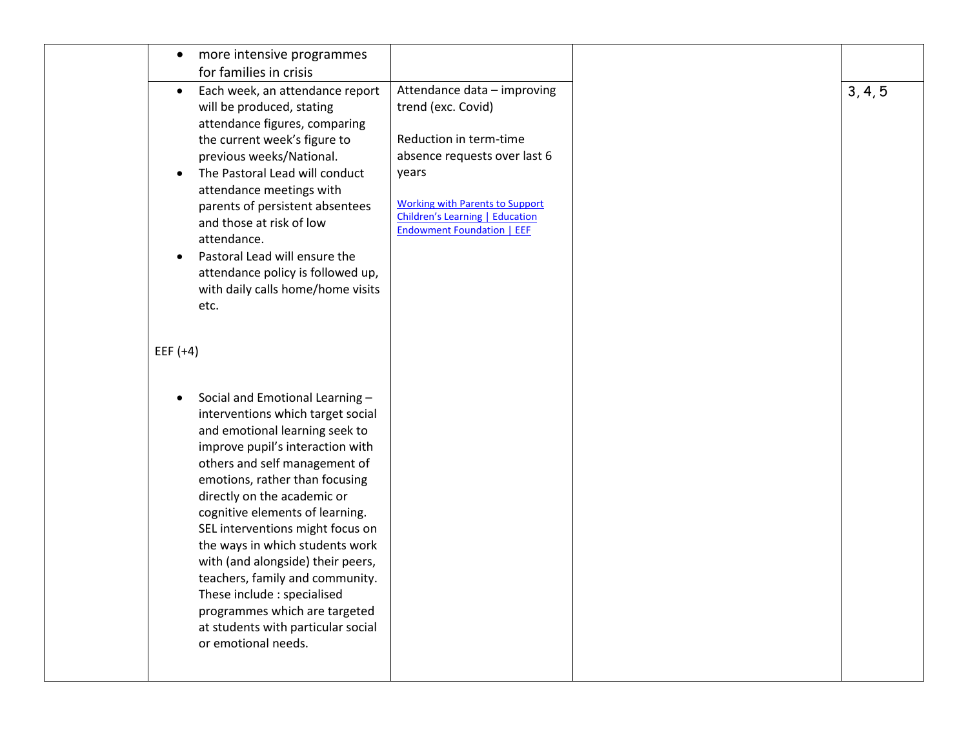| more intensive programmes                                                 |                                                                                                                |  |
|---------------------------------------------------------------------------|----------------------------------------------------------------------------------------------------------------|--|
| for families in crisis                                                    |                                                                                                                |  |
| Each week, an attendance report<br>$\bullet$<br>will be produced, stating | Attendance data - improving<br>trend (exc. Covid)                                                              |  |
| attendance figures, comparing                                             |                                                                                                                |  |
| the current week's figure to                                              | Reduction in term-time                                                                                         |  |
| previous weeks/National.                                                  | absence requests over last 6                                                                                   |  |
| The Pastoral Lead will conduct                                            | years                                                                                                          |  |
| attendance meetings with                                                  |                                                                                                                |  |
| parents of persistent absentees<br>and those at risk of low               | <b>Working with Parents to Support</b><br>Children's Learning   Education<br><b>Endowment Foundation   EEF</b> |  |
| attendance.                                                               |                                                                                                                |  |
| Pastoral Lead will ensure the<br>$\bullet$                                |                                                                                                                |  |
| attendance policy is followed up,                                         |                                                                                                                |  |
| with daily calls home/home visits                                         |                                                                                                                |  |
| etc.                                                                      |                                                                                                                |  |
| EEF $(+4)$                                                                |                                                                                                                |  |
|                                                                           |                                                                                                                |  |
| Social and Emotional Learning-<br>interventions which target social       |                                                                                                                |  |
| and emotional learning seek to                                            |                                                                                                                |  |
| improve pupil's interaction with                                          |                                                                                                                |  |
| others and self management of                                             |                                                                                                                |  |
| emotions, rather than focusing                                            |                                                                                                                |  |
| directly on the academic or                                               |                                                                                                                |  |
| cognitive elements of learning.                                           |                                                                                                                |  |
| SEL interventions might focus on                                          |                                                                                                                |  |
| the ways in which students work                                           |                                                                                                                |  |
| with (and alongside) their peers,                                         |                                                                                                                |  |
| teachers, family and community.<br>These include : specialised            |                                                                                                                |  |
| programmes which are targeted                                             |                                                                                                                |  |
|                                                                           |                                                                                                                |  |
| at students with particular social                                        |                                                                                                                |  |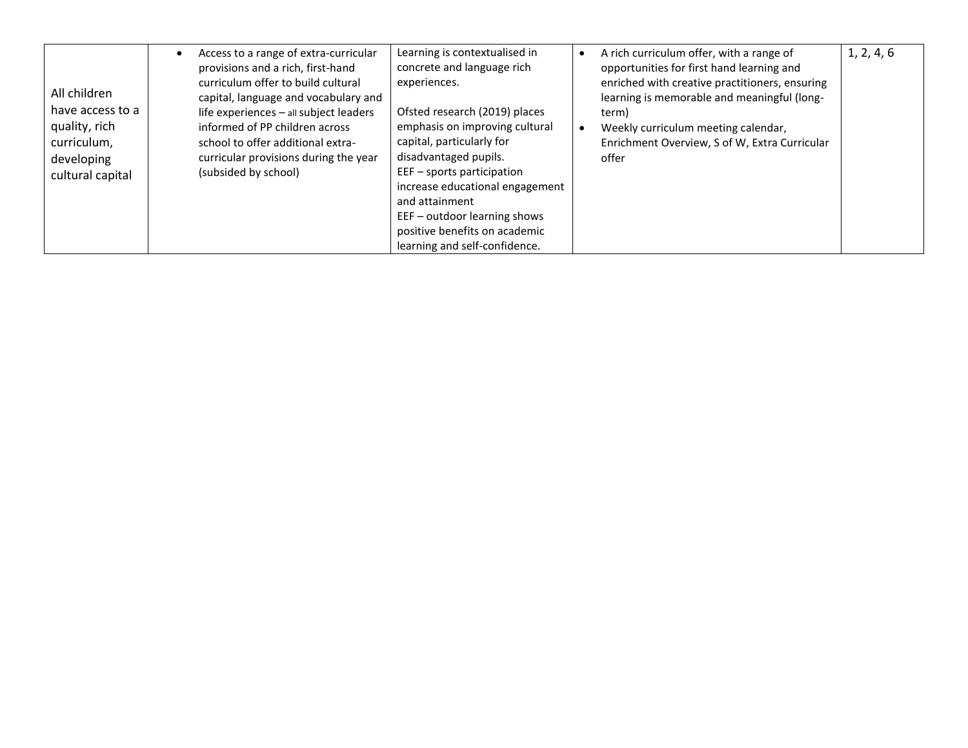| All children<br>have access to a<br>quality, rich<br>curriculum,<br>developing<br>cultural capital | Access to a range of extra-curricular<br>provisions and a rich, first-hand<br>curriculum offer to build cultural<br>capital, language and vocabulary and<br>life experiences - all subject leaders<br>informed of PP children across<br>school to offer additional extra-<br>curricular provisions during the year<br>(subsided by school) | Learning is contextualised in<br>concrete and language rich<br>experiences.<br>Ofsted research (2019) places<br>emphasis on improving cultural<br>capital, particularly for<br>disadvantaged pupils.<br>$EEF - sports$ participation<br>increase educational engagement<br>and attainment<br>EEF – outdoor learning shows | A rich curriculum offer, with a range of<br>opportunities for first hand learning and<br>enriched with creative practitioners, ensuring<br>learning is memorable and meaningful (long-<br>term)<br>Weekly curriculum meeting calendar,<br>Enrichment Overview, S of W, Extra Curricular<br>offer | 1, 2, 4, 6 |
|----------------------------------------------------------------------------------------------------|--------------------------------------------------------------------------------------------------------------------------------------------------------------------------------------------------------------------------------------------------------------------------------------------------------------------------------------------|---------------------------------------------------------------------------------------------------------------------------------------------------------------------------------------------------------------------------------------------------------------------------------------------------------------------------|--------------------------------------------------------------------------------------------------------------------------------------------------------------------------------------------------------------------------------------------------------------------------------------------------|------------|
|                                                                                                    |                                                                                                                                                                                                                                                                                                                                            | positive benefits on academic                                                                                                                                                                                                                                                                                             |                                                                                                                                                                                                                                                                                                  |            |
|                                                                                                    |                                                                                                                                                                                                                                                                                                                                            | learning and self-confidence.                                                                                                                                                                                                                                                                                             |                                                                                                                                                                                                                                                                                                  |            |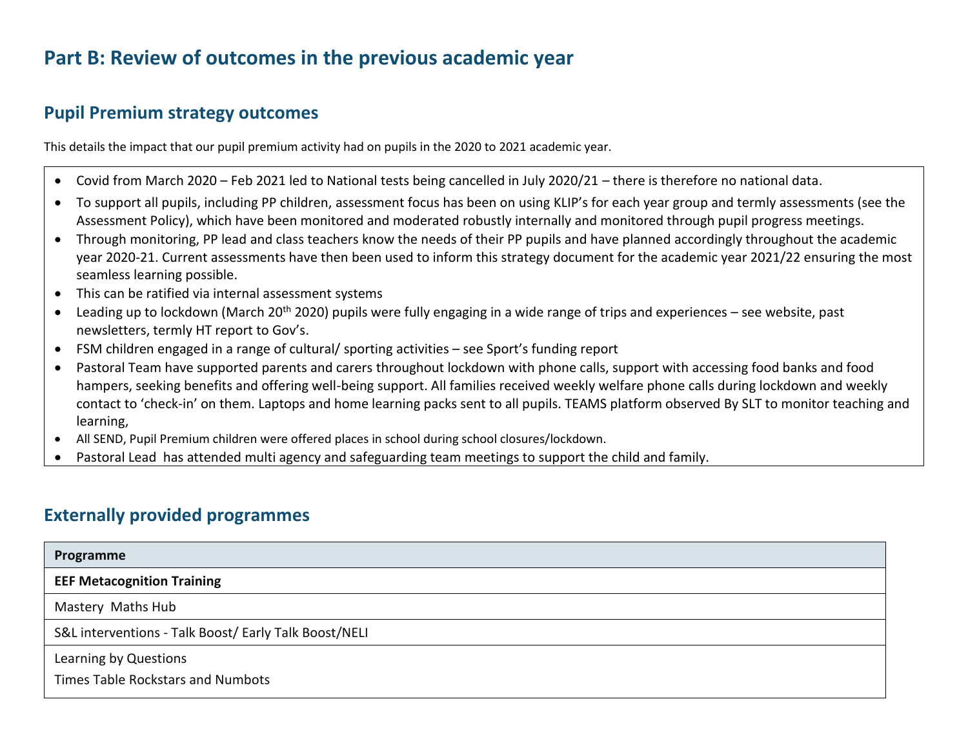# **Part B: Review of outcomes in the previous academic year**

### **Pupil Premium strategy outcomes**

This details the impact that our pupil premium activity had on pupils in the 2020 to 2021 academic year.

- Covid from March 2020 Feb 2021 led to National tests being cancelled in July 2020/21 there is therefore no national data.
- To support all pupils, including PP children, assessment focus has been on using KLIP's for each year group and termly assessments (see the Assessment Policy), which have been monitored and moderated robustly internally and monitored through pupil progress meetings.
- Through monitoring, PP lead and class teachers know the needs of their PP pupils and have planned accordingly throughout the academic year 2020-21. Current assessments have then been used to inform this strategy document for the academic year 2021/22 ensuring the most seamless learning possible.
- This can be ratified via internal assessment systems
- Leading up to lockdown (March 20<sup>th</sup> 2020) pupils were fully engaging in a wide range of trips and experiences see website, past newsletters, termly HT report to Gov's.
- FSM children engaged in a range of cultural/ sporting activities see Sport's funding report
- Pastoral Team have supported parents and carers throughout lockdown with phone calls, support with accessing food banks and food hampers, seeking benefits and offering well-being support. All families received weekly welfare phone calls during lockdown and weekly contact to 'check-in' on them. Laptops and home learning packs sent to all pupils. TEAMS platform observed By SLT to monitor teaching and learning,
- All SEND, Pupil Premium children were offered places in school during school closures/lockdown.
- Pastoral Lead has attended multi agency and safeguarding team meetings to support the child and family.

### **Externally provided programmes**

| Programme                                             |  |
|-------------------------------------------------------|--|
| <b>EEF Metacognition Training</b>                     |  |
| Mastery Maths Hub                                     |  |
| S&L interventions - Talk Boost/ Early Talk Boost/NELI |  |
| Learning by Questions                                 |  |
| Times Table Rockstars and Numbots                     |  |
|                                                       |  |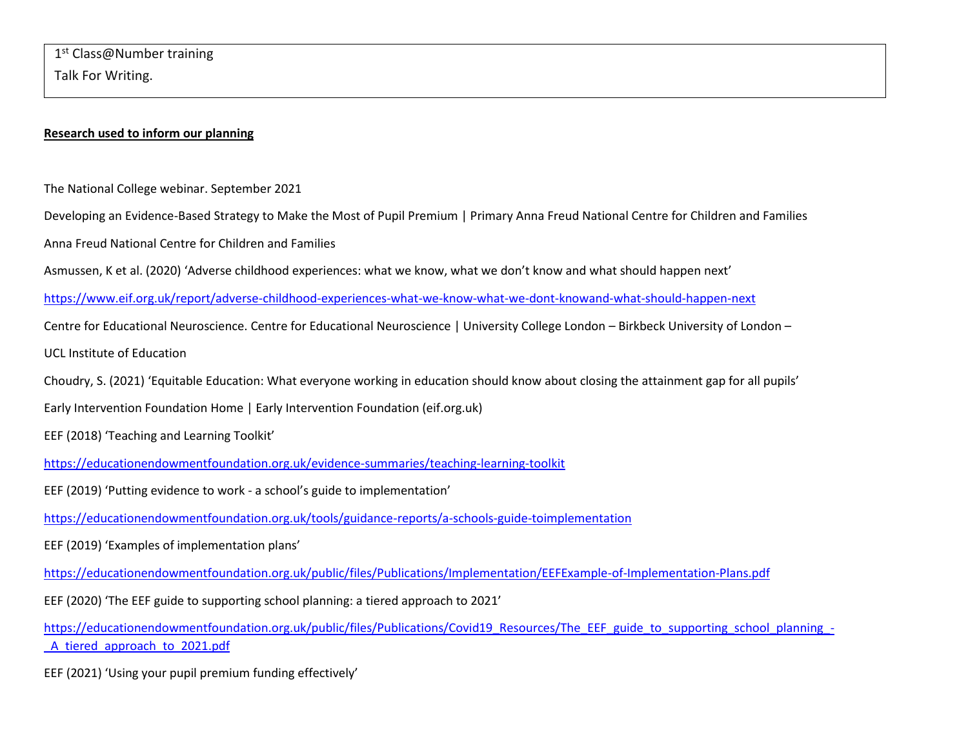#### **Research used to inform our planning**

The National College webinar. September 2021

Developing an Evidence-Based Strategy to Make the Most of Pupil Premium | Primary Anna Freud National Centre for Children and Families

Anna Freud National Centre for Children and Families

Asmussen, K et al. (2020) 'Adverse childhood experiences: what we know, what we don't know and what should happen next'

<https://www.eif.org.uk/report/adverse-childhood-experiences-what-we-know-what-we-dont-knowand-what-should-happen-next>

Centre for Educational Neuroscience. Centre for Educational Neuroscience | University College London – Birkbeck University of London –

UCL Institute of Education

Choudry, S. (2021) 'Equitable Education: What everyone working in education should know about closing the attainment gap for all pupils'

Early Intervention Foundation Home | Early Intervention Foundation (eif.org.uk)

EEF (2018) 'Teaching and Learning Toolkit'

<https://educationendowmentfoundation.org.uk/evidence-summaries/teaching-learning-toolkit>

EEF (2019) 'Putting evidence to work - a school's guide to implementation'

<https://educationendowmentfoundation.org.uk/tools/guidance-reports/a-schools-guide-toimplementation>

EEF (2019) 'Examples of implementation plans'

<https://educationendowmentfoundation.org.uk/public/files/Publications/Implementation/EEFExample-of-Implementation-Plans.pdf>

EEF (2020) 'The EEF guide to supporting school planning: a tiered approach to 2021'

[https://educationendowmentfoundation.org.uk/public/files/Publications/Covid19\\_Resources/The\\_EEF\\_guide\\_to\\_supporting\\_school\\_planning\\_-](https://educationendowmentfoundation.org.uk/public/files/Publications/Covid19_Resources/The_EEF_guide_to_supporting_school_planning_-_A_tiered_approach_to_2021.pdf) A tiered approach to 2021.pdf

EEF (2021) 'Using your pupil premium funding effectively'